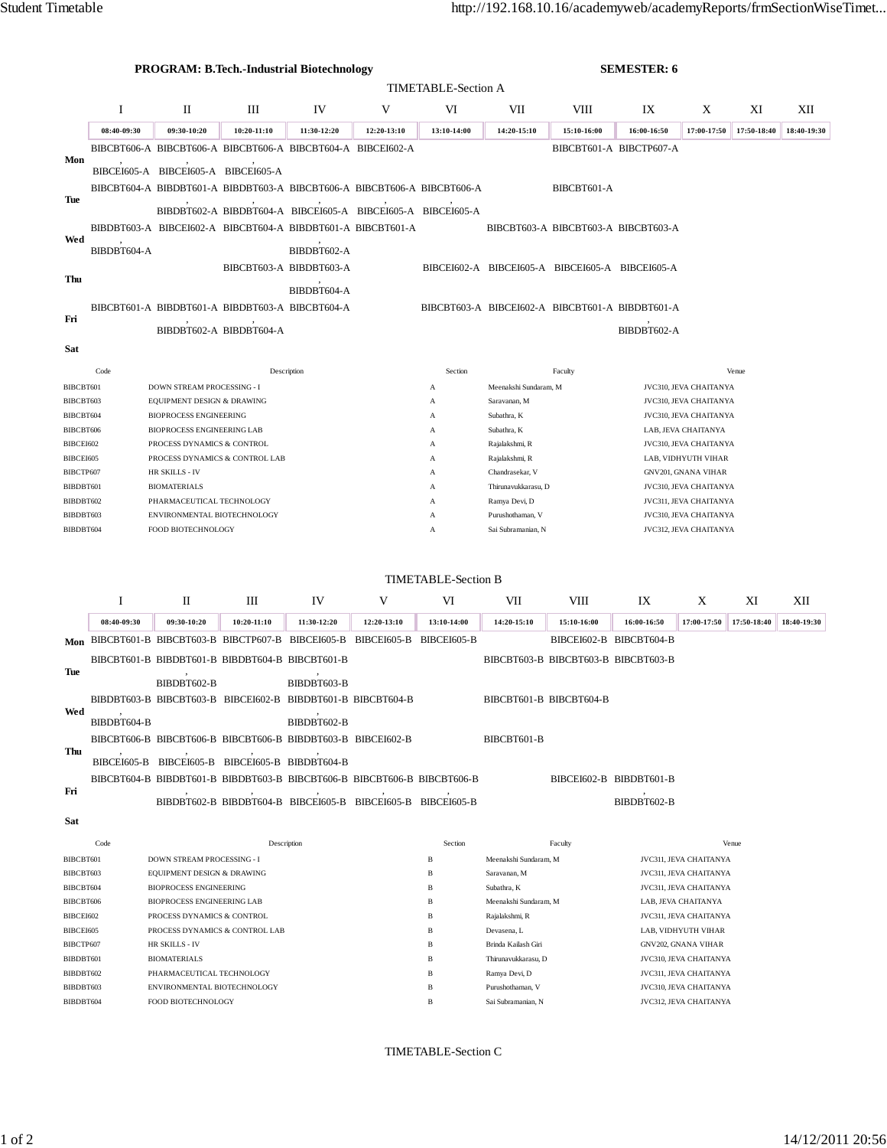|                            |             | <b>PROGRAM: B.Tech.-Industrial Biotechnology</b>                        |                                                             |                         | <b>SEMESTER: 6</b>       |                                        |                                                                 |                         |                                     |                                               |             |             |  |  |
|----------------------------|-------------|-------------------------------------------------------------------------|-------------------------------------------------------------|-------------------------|--------------------------|----------------------------------------|-----------------------------------------------------------------|-------------------------|-------------------------------------|-----------------------------------------------|-------------|-------------|--|--|
|                            |             |                                                                         |                                                             |                         |                          |                                        |                                                                 |                         |                                     |                                               |             |             |  |  |
| <b>TIMETABLE-Section A</b> |             |                                                                         |                                                             |                         |                          |                                        |                                                                 |                         |                                     |                                               |             |             |  |  |
|                            | 1           | П                                                                       | Ш                                                           | IV                      | V                        | VI                                     | VII                                                             | VIII                    | IX                                  | X                                             | XI          | XІІ         |  |  |
|                            | 08:40-09:30 | 09:30-10:20                                                             | 10:20-11:10                                                 | 11:30-12:20             | 12:20-13:10              | 13:10-14:00                            | 14:20-15:10                                                     | 15:10-16:00             | 16:00-16:50                         | 17:00-17:50                                   | 17:50-18:40 | 18:40-19:30 |  |  |
| Mon                        |             | BIBCBT606-A BIBCBT606-A BIBCBT606-A BIBCBT604-A BIBCEI602-A             |                                                             |                         |                          |                                        |                                                                 |                         | BIBCBT601-A BIBCTP607-A             |                                               |             |             |  |  |
|                            |             |                                                                         |                                                             |                         |                          |                                        |                                                                 |                         |                                     |                                               |             |             |  |  |
|                            |             | BIBCEI605-A BIBCEI605-A BIBCEI605-A                                     |                                                             |                         |                          |                                        |                                                                 |                         |                                     |                                               |             |             |  |  |
| Tue                        |             | BIBCBT604-A BIBDBT601-A BIBDBT603-A BIBCBT606-A BIBCBT606-A BIBCBT606-A |                                                             |                         |                          |                                        |                                                                 | BIBCBT601-A             |                                     |                                               |             |             |  |  |
|                            |             |                                                                         | BIBDBT602-A BIBDBT604-A BIBCEI605-A BIBCEI605-A BIBCEI605-A |                         |                          |                                        |                                                                 |                         |                                     |                                               |             |             |  |  |
|                            |             |                                                                         |                                                             |                         |                          |                                        |                                                                 |                         |                                     |                                               |             |             |  |  |
| Wed                        |             | BIBDBT603-A BIBCEI602-A BIBCBT604-A BIBDBT601-A BIBCBT601-A             |                                                             |                         |                          |                                        |                                                                 |                         | BIBCBT603-A BIBCBT603-A BIBCBT603-A |                                               |             |             |  |  |
|                            | BIBDBT604-A |                                                                         |                                                             | BIBDBT602-A             |                          |                                        |                                                                 |                         |                                     |                                               |             |             |  |  |
|                            |             |                                                                         |                                                             | BIBCBT603-A BIBDBT603-A |                          |                                        | BIBCEI602-A BIBCEI605-A BIBCEI605-A BIBCEI605-A                 |                         |                                     |                                               |             |             |  |  |
| Thu                        |             |                                                                         |                                                             |                         |                          |                                        |                                                                 |                         |                                     |                                               |             |             |  |  |
| Fri                        |             |                                                                         |                                                             | BIBDBT604-A             |                          |                                        |                                                                 |                         |                                     |                                               |             |             |  |  |
|                            |             | BIBCBT601-A BIBDBT601-A BIBDBT603-A BIBCBT604-A                         |                                                             |                         |                          |                                        | BIBCBT603-A BIBCEI602-A BIBCBT601-A BIBDBT601-A                 |                         |                                     |                                               |             |             |  |  |
|                            |             |                                                                         | BIBDBT602-A BIBDBT604-A                                     |                         |                          |                                        |                                                                 |                         | BIBDBT602-A                         |                                               |             |             |  |  |
| Sat                        |             |                                                                         |                                                             |                         |                          |                                        |                                                                 |                         |                                     |                                               |             |             |  |  |
|                            |             |                                                                         |                                                             |                         |                          |                                        |                                                                 |                         |                                     |                                               |             |             |  |  |
|                            | Code        |                                                                         |                                                             | Description             |                          | Section                                |                                                                 | Faculty                 |                                     |                                               | Venue       |             |  |  |
| BIBCBT601                  |             | DOWN STREAM PROCESSING - I                                              |                                                             |                         |                          | А                                      | Meenakshi Sundaram, M                                           |                         |                                     | JVC310, JEVA CHAITANYA                        |             |             |  |  |
| BIBCBT603                  |             | EQUIPMENT DESIGN & DRAWING                                              |                                                             |                         |                          | A                                      | Saravanan, M<br>JVC310, JEVA CHAITANYA                          |                         |                                     |                                               |             |             |  |  |
| BIBCBT604                  |             | <b>BIOPROCESS ENGINEERING</b>                                           |                                                             |                         |                          | A                                      | Subathra, K                                                     |                         | JVC310, JEVA CHAITANYA              |                                               |             |             |  |  |
| BIBCBT606                  |             | <b>BIOPROCESS ENGINEERING LAB</b>                                       |                                                             |                         |                          | А                                      | Subathra, K                                                     |                         | LAB, JEVA CHAITANYA                 |                                               |             |             |  |  |
| BIBCEI602                  |             | PROCESS DYNAMICS & CONTROL                                              |                                                             |                         |                          | А                                      | Rajalakshmi, R<br>JVC310, JEVA CHAITANYA<br>LAB, VIDHYUTH VIHAR |                         |                                     |                                               |             |             |  |  |
| BIBCEI605                  |             | PROCESS DYNAMICS & CONTROL LAB<br>HR SKILLS - IV                        |                                                             |                         |                          | А<br>А                                 | Rajalakshmi, R<br>Chandrasekar, V                               |                         |                                     |                                               |             |             |  |  |
| BIBCTP607<br>BIBDBT601     |             | <b>BIOMATERIALS</b>                                                     |                                                             |                         | Thirunavukkarasu, D<br>А |                                        |                                                                 |                         |                                     | GNV201, GNANA VIHAR<br>JVC310, JEVA CHAITANYA |             |             |  |  |
| BIBDBT602                  |             | PHARMACEUTICAL TECHNOLOGY                                               |                                                             |                         | А                        | JVC311, JEVA CHAITANYA                 |                                                                 |                         |                                     |                                               |             |             |  |  |
| BIBDBT603                  |             | ENVIRONMENTAL BIOTECHNOLOGY                                             |                                                             |                         |                          | Ramya Devi, D<br>Purushothaman, V<br>А |                                                                 |                         | JVC310, JEVA CHAITANYA              |                                               |             |             |  |  |
| BIBDBT604                  |             | FOOD BIOTECHNOLOGY                                                      |                                                             |                         |                          | А                                      | JVC312, JEVA CHAITANYA<br>Sai Subramanian, N                    |                         |                                     |                                               |             |             |  |  |
|                            |             |                                                                         |                                                             |                         |                          |                                        |                                                                 |                         |                                     |                                               |             |             |  |  |
|                            |             |                                                                         |                                                             |                         |                          |                                        |                                                                 |                         |                                     |                                               |             |             |  |  |
|                            |             |                                                                         |                                                             |                         |                          | <b>TIMETABLE-Section B</b>             |                                                                 |                         |                                     |                                               |             |             |  |  |
|                            |             |                                                                         |                                                             |                         |                          |                                        |                                                                 |                         |                                     |                                               |             |             |  |  |
|                            | 1           | П                                                                       | Ш                                                           | IV                      | V                        | VI                                     | VII                                                             | VIII                    | IX                                  | X                                             | XI          | XII         |  |  |
|                            | 08:40-09:30 | 09:30-10:20                                                             | 10:20-11:10                                                 | 11:30-12:20             | 12:20-13:10              | 13:10-14:00                            | 14:20-15:10                                                     | 15:10-16:00             | 16:00-16:50                         | 17:00-17:50                                   | 17:50-18:40 | 18:40-19:30 |  |  |
|                            |             | Mon BIBCBT601-B BIBCBT603-B BIBCTP607-B BIBCEI605-B BIBCEI605-B         |                                                             |                         |                          | BIBCEI605-B                            |                                                                 | BIBCEI602-B BIBCBT604-B |                                     |                                               |             |             |  |  |
|                            |             | BIBCBT601-B BIBDBT601-B BIBDBT604-B BIBCBT601-B                         |                                                             |                         |                          |                                        | BIBCBT603-B BIBCBT603-B BIBCBT603-B                             |                         |                                     |                                               |             |             |  |  |
| Tue                        |             |                                                                         |                                                             |                         |                          |                                        |                                                                 |                         |                                     |                                               |             |             |  |  |
|                            |             | BIBDBT602-B                                                             |                                                             | BIBDBT603-B             |                          |                                        |                                                                 |                         |                                     |                                               |             |             |  |  |
| Wed                        |             | BIBDBT603-B BIBCBT603-B BIBCEI602-B BIBDBT601-B BIBCBT604-B             |                                                             |                         |                          |                                        | BIBCBT601-B BIBCBT604-B                                         |                         |                                     |                                               |             |             |  |  |
|                            | BIBDBT604-B |                                                                         |                                                             | BIBDBT602-B             |                          |                                        |                                                                 |                         |                                     |                                               |             |             |  |  |
|                            |             |                                                                         |                                                             |                         |                          |                                        |                                                                 |                         |                                     |                                               |             |             |  |  |
| Thu                        |             | BIBCBT606-B BIBCBT606-B BIBCBT606-B BIBDBT603-B BIBCEI602-B             |                                                             |                         |                          |                                        | BIBCBT601-B                                                     |                         |                                     |                                               |             |             |  |  |
|                            |             | BIBCEI605-B BIBCEI605-B BIBCEI605-B BIBDBT604-B                         |                                                             |                         |                          |                                        |                                                                 |                         |                                     |                                               |             |             |  |  |
|                            |             | BIBCBT604-B BIBDBT601-B BIBDBT603-B BIBCBT606-B BIBCBT606-B BIBCBT606-B |                                                             |                         |                          |                                        |                                                                 | BIBCEI602-B BIBDBT601-B |                                     |                                               |             |             |  |  |
| Fri                        |             |                                                                         |                                                             |                         |                          |                                        |                                                                 |                         |                                     |                                               |             |             |  |  |
|                            |             |                                                                         |                                                             |                         |                          |                                        |                                                                 |                         | BIBDBT602-B                         |                                               |             |             |  |  |
| <b>Sat</b>                 |             |                                                                         |                                                             |                         |                          |                                        |                                                                 |                         |                                     |                                               |             |             |  |  |
|                            | Code        | Description                                                             |                                                             |                         |                          | Section                                |                                                                 | Faculty<br>Venue        |                                     |                                               |             |             |  |  |
| BIBCBT601                  |             | DOWN STREAM PROCESSING - I                                              |                                                             |                         |                          | $\, {\bf B}$                           | Meenakshi Sundaram, M                                           |                         | JVC311, JEVA CHAITANYA              |                                               |             |             |  |  |
| BIBCBT603                  |             | EQUIPMENT DESIGN & DRAWING                                              |                                                             |                         |                          | B                                      | Saravanan, M                                                    |                         | JVC311, JEVA CHAITANYA              |                                               |             |             |  |  |
| BIBCBT604                  |             | <b>BIOPROCESS ENGINEERING</b>                                           |                                                             |                         |                          | B                                      | Subathra, K                                                     |                         | JVC311, JEVA CHAITANYA              |                                               |             |             |  |  |
| BIBCBT606                  |             | BIOPROCESS ENGINEERING LAB                                              |                                                             |                         |                          | B                                      | Meenakshi Sundaram, M                                           |                         | LAB, JEVA CHAITANYA                 |                                               |             |             |  |  |
| BIBCEI602                  |             | PROCESS DYNAMICS & CONTROL                                              |                                                             |                         |                          | B                                      | Rajalakshmi, R                                                  |                         | JVC311, JEVA CHAITANYA              |                                               |             |             |  |  |
| BIBCEI605                  |             | PROCESS DYNAMICS & CONTROL LAB                                          |                                                             |                         |                          | B                                      | Devasena, L                                                     |                         | LAB, VIDHYUTH VIHAR                 |                                               |             |             |  |  |
| BIBCTP607                  |             | HR SKILLS - IV                                                          |                                                             |                         |                          | В                                      | Brinda Kailash Giri                                             |                         |                                     | GNV202, GNANA VIHAR                           |             |             |  |  |
| BIBDBT601                  |             | <b>BIOMATERIALS</b>                                                     |                                                             |                         |                          | В                                      | Thirunavukkarasu, D                                             |                         | JVC310, JEVA CHAITANYA              |                                               |             |             |  |  |

TIMETABLE-Section C

BIBDBT602 PHARMACEUTICAL TECHNOLOGY B Ramya Devi, D Ramya Devi, D JVC311, JEVA CHAITANYA BIBDBT603 ENVIRONMENTAL BIOTECHNOLOGY B Purushothaman, V JVC310, JEVA CHAITANYA BIBDBT604 FOOD BIOTECHNOLOGY **B** Sai Subramanian, N JVC312, JEVA CHAITANYA